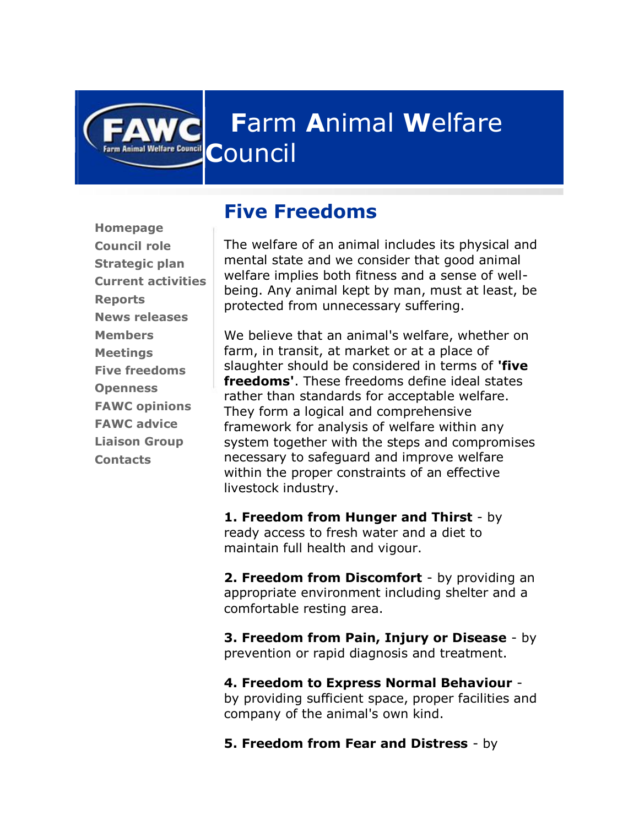

**[Homepage](http://www.fawc.org.uk/default.htm) [Council](http://www.fawc.org.uk/role.htm) role [Strategic plan](http://www.fawc.org.uk/strategicplan/index.htm)  [Current activities](http://www.fawc.org.uk/current.htm) [Reports](http://www.fawc.org.uk/reports.htm) [News releases](http://www.fawc.org.uk/news.htm) [Members](http://www.fawc.org.uk/members.htm) [Meetings](http://www.fawc.org.uk/meetings.htm) [Five freedoms](http://www.fawc.org.uk/freedoms.htm) [Openness](http://www.fawc.org.uk/openness.htm) [FAWC opinions](http://www.fawc.org.uk/opinions/index.htm) [FAWC advice](http://www.fawc.org.uk/whatsnew.htm) [Liaison Group](http://www.fawc.org.uk/liaisongroup/index.htm) [Contacts](http://www.fawc.org.uk/contact.htm)**

**Ifare Council** 

## **Five Freedoms**

The welfare of an animal includes its physical and mental state and we consider that good animal welfare implies both fitness and a sense of wellbeing. Any animal kept by man, must at least, be protected from unnecessary suffering.

We believe that an animal's welfare, whether on farm, in transit, at market or at a place of slaughter should be considered in terms of **'five freedoms'**. These freedoms define ideal states rather than standards for acceptable welfare. They form a logical and comprehensive framework for analysis of welfare within any system together with the steps and compromises necessary to safeguard and improve welfare within the proper constraints of an effective livestock industry.

**1. Freedom from Hunger and Thirst** - by ready access to fresh water and a diet to maintain full health and vigour.

**2. Freedom from Discomfort** - by providing an appropriate environment including shelter and a comfortable resting area.

**3. Freedom from Pain, Injury or Disease** - by prevention or rapid diagnosis and treatment.

**4. Freedom to Express Normal Behaviour**  by providing sufficient space, proper facilities and company of the animal's own kind.

**5. Freedom from Fear and Distress** - by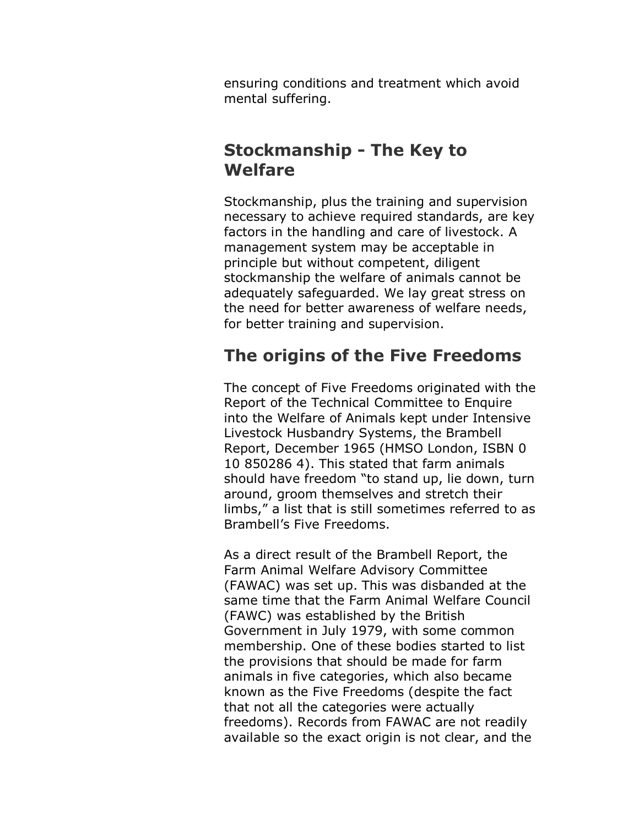ensuring conditions and treatment which avoid mental suffering.

## **Stockmanship - The Key to Welfare**

Stockmanship, plus the training and supervision necessary to achieve required standards, are key factors in the handling and care of livestock. A management system may be acceptable in principle but without competent, diligent stockmanship the welfare of animals cannot be adequately safeguarded. We lay great stress on the need for better awareness of welfare needs, for better training and supervision.

## **The origins of the Five Freedoms**

The concept of Five Freedoms originated with the Report of the Technical Committee to Enquire into the Welfare of Animals kept under Intensive Livestock Husbandry Systems, the Brambell Report, December 1965 (HMSO London, ISBN 0 10 850286 4). This stated that farm animals should have freedom "to stand up, lie down, turn around, groom themselves and stretch their limbs," a list that is still sometimes referred to as Brambell's Five Freedoms.

As a direct result of the Brambell Report, the Farm Animal Welfare Advisory Committee (FAWAC) was set up. This was disbanded at the same time that the Farm Animal Welfare Council (FAWC) was established by the British Government in July 1979, with some common membership. One of these bodies started to list the provisions that should be made for farm animals in five categories, which also became known as the Five Freedoms (despite the fact that not all the categories were actually freedoms). Records from FAWAC are not readily available so the exact origin is not clear, and the